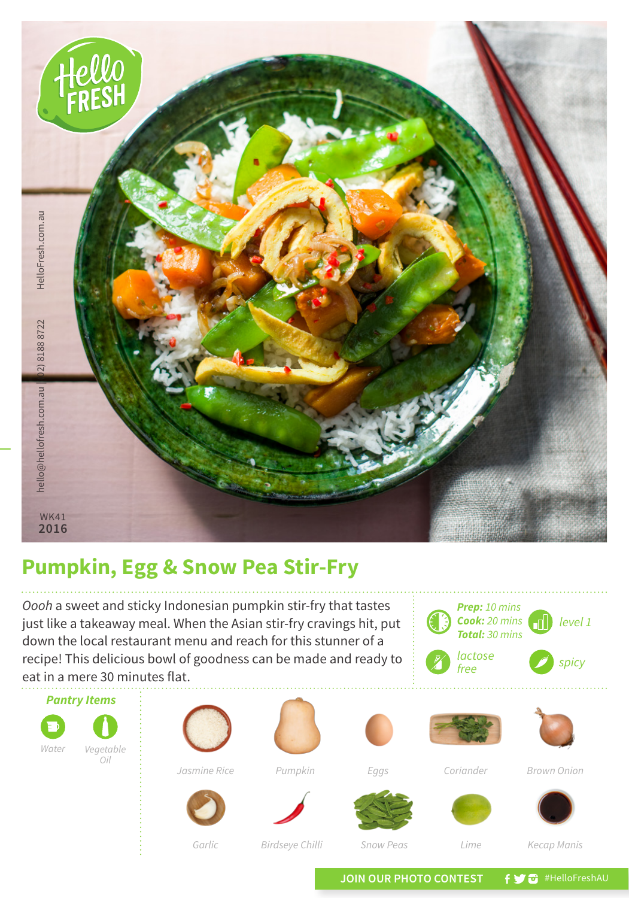

## **Pumpkin, Egg & Snow Pea Stir-Fry**

*Oooh* a sweet and sticky Indonesian pumpkin stir-fry that tastes just like a takeaway meal. When the Asian stir-fry cravings hit, put down the local restaurant menu and reach for this stunner of a recipe! This delicious bowl of goodness can be made and ready to eat in a mere 30 minutes flat.



JOIN OUR PHOTO CONTEST **f y** a #HelloFreshAU

*Prep: 10 mins Cook: 20 mins Total: 30 mins*

*free spicy*

*lactose*

*level 1*